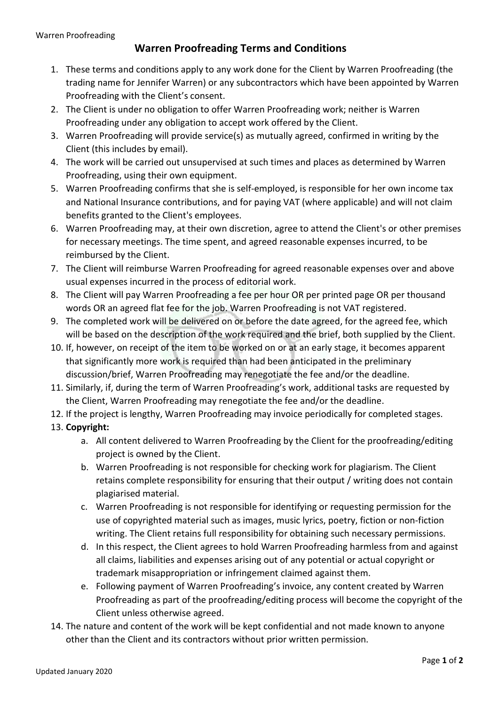## Warren Proofreading Terms and Conditions

- 1. These terms and conditions apply to any work done for the Client by Warren Proofreading (the trading name for Jennifer Warren) or any subcontractors which have been appointed by Warren Proofreading with the Client's consent.
- 2. The Client is under no obligation to offer Warren Proofreading work; neither is Warren Proofreading under any obligation to accept work offered by the Client.
- 3. Warren Proofreading will provide service(s) as mutually agreed, confirmed in writing by the Client (this includes by email).
- 4. The work will be carried out unsupervised at such times and places as determined by Warren Proofreading, using their own equipment.
- 5. Warren Proofreading confirms that she is self-employed, is responsible for her own income tax and National Insurance contributions, and for paying VAT (where applicable) and will not claim benefits granted to the Client's employees.
- 6. Warren Proofreading may, at their own discretion, agree to attend the Client's or other premises for necessary meetings. The time spent, and agreed reasonable expenses incurred, to be reimbursed by the Client.
- 7. The Client will reimburse Warren Proofreading for agreed reasonable expenses over and above usual expenses incurred in the process of editorial work.
- 8. The Client will pay Warren Proofreading a fee per hour OR per printed page OR per thousand words OR an agreed flat fee for the job. Warren Proofreading is not VAT registered.
- 9. The completed work will be delivered on or before the date agreed, for the agreed fee, which will be based on the description of the work required and the brief, both supplied by the Client.
- 10. If, however, on receipt of the item to be worked on or at an early stage, it becomes apparent that significantly more work is required than had been anticipated in the preliminary discussion/brief, Warren Proofreading may renegotiate the fee and/or the deadline.
- 11. Similarly, if, during the term of Warren Proofreading's work, additional tasks are requested by the Client, Warren Proofreading may renegotiate the fee and/or the deadline.
- 12. If the project is lengthy, Warren Proofreading may invoice periodically for completed stages.
- 13. Copyright:
	- a. All content delivered to Warren Proofreading by the Client for the proofreading/editing project is owned by the Client.
	- b. Warren Proofreading is not responsible for checking work for plagiarism. The Client retains complete responsibility for ensuring that their output / writing does not contain plagiarised material.
	- c. Warren Proofreading is not responsible for identifying or requesting permission for the use of copyrighted material such as images, music lyrics, poetry, fiction or non-fiction writing. The Client retains full responsibility for obtaining such necessary permissions.
	- d. In this respect, the Client agrees to hold Warren Proofreading harmless from and against all claims, liabilities and expenses arising out of any potential or actual copyright or trademark misappropriation or infringement claimed against them.
	- e. Following payment of Warren Proofreading's invoice, any content created by Warren Proofreading as part of the proofreading/editing process will become the copyright of the Client unless otherwise agreed.
- 14. The nature and content of the work will be kept confidential and not made known to anyone other than the Client and its contractors without prior written permission.